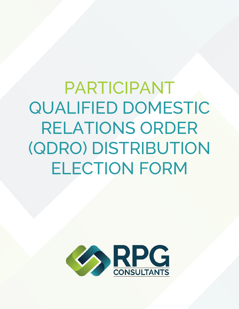PARTICIPANT QUALIFIED DOMESTIC RELATIONS ORDER (QDRO) DISTRIBUTION ELECTION FORM

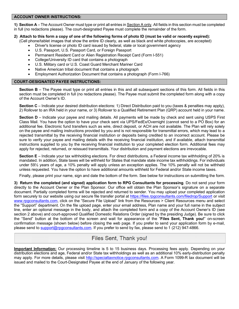#### **ACCOUNT OWNER INSTRUCTIONS:**

**1) Section A** – The Account Owner must type or print all entries in Section A only. All fields in this section must be completed in full (no redactions please). The court-designated Payee must complete the remainder of the form.

#### **2) Attach to this form a copy of one of the following forms of photo ID (must be valid or recently expired):**

(Cell phone/tablet images that show the entire ID clearly, as well as black and white photocopies, are accepted)

- Driver's license or photo ID card issued by federal, state or local government agency
- U.S. Passport, U.S. Passport Card, or Foreign Passport
- Permanent Resident Card or Alien Registration Receipt Card (Form I-551)
- College/University ID card that contains a photograph
- U.S. Military card or U.S. Coast Guard Merchant Mariner Card
- Native American tribal document that contains a photograph
- Employment Authorization Document that contains a photograph (Form I-766)

# **COURT-DESIGNATED PAYEE INSTRUCTIONS:**

**Section B** – The Payee must type or print all entries in this and all subsequent sections of this form. All fields in this section must be completed in full (no redactions please). The Payee must submit the completed form along with a copy of the Account Owner's ID.

**Section C** – Indicate your desired distribution elections: 1) Direct Distribution paid to you (taxes & penalties may apply), 2) Rollover to an IRA held in your name, or 3) Rollover to a Qualified Retirement Plan (QRP) account held in your name.

**Section D** – Indicate your payee and mailing details. All payments will be made by check and sent using USPS First Class Mail. You have the option to have your check sent via UPS/FedEx/Overnight (cannot send to a PO Box) for an additional fee. Electronic fund transfers such as wire, direct deposit, or ACH are not available. The Plan will rely solely on the payee and mailing instructions provided by you and is not responsible for transmittal errors, which may lead to a rejected transmittal by the receiving financial institution or deposits being credited to an incorrect account. Please be sure to verify your payee and mailing details with the receiving financial institution, and if available, attach transmittal instructions supplied to you by the receiving financial institution to your completed election form. Additional fees may apply for rejected, returned, or reissued transmittals. Your distribution and payment elections are irrevocable.

**Section E** – Indicate your tax withholding elections. For direct distributions, a Federal income tax withholding of 20% is mandated. In addition, State taxes will be withheld for States that mandate state income tax withholdings. For individuals under 59½ years of age, a 10% penalty will apply unless an exception applies. The 10% penalty will not be withheld unless requested. You have the option to have additional amounts withheld for Federal and/or State income taxes.

Finally, please print your name, sign and date the bottom of the form. See below for instructions on submitting the form.

**3) Return the completed (and signed) application form to RPG Consultants for processing**. Do not send your form directly to the Account Owner or the Plan Sponsor. Our office will obtain the Plan Sponsor's signature on a separate document. Partially completed forms will be rejected and returned to sender. You may upload your completed application form securely to our website using our secure file transfer portal at https://files.rpgconsultants.com/filedrop/Support or visit www.rpgconsultants.com, click on the "Secure File Upload" link from the Resources > Client Resources menu and select the "Support" department. On the file upload page, enter your email address, Plan name and your full name in the subject line, enter an optional message in the body, and attach the completed form and a copy of the Account Owner's ID (see section 2 above) and court-approved Qualified Domestic Relations Order (signed by the presiding Judge). Be sure to click the "Send" button at the bottom of the screen and wait for appearance of the "**Files Sent, Thank you!**" on-screen confirmation message (shown below) before closing the web page. If you prefer to send your application form by e-mail, please send to support@rpgconsultants.com. If you prefer to send by fax, please send to 1 (212) 947-4866.

# Files Sent, Thank you!

**Important Information:** Our processing timeline is 5 to 15 business days. Processing fees apply. Depending on your distribution elections and age, Federal and/or State tax withholdings as well as an additional 10% early-distribution penalty may apply. For more details, please visit http://specialtaxnotice.rpgconsultants.com. A Form 1099-R tax document will be issued and mailed to the Court-Designated Payee at the end of January of the following year.